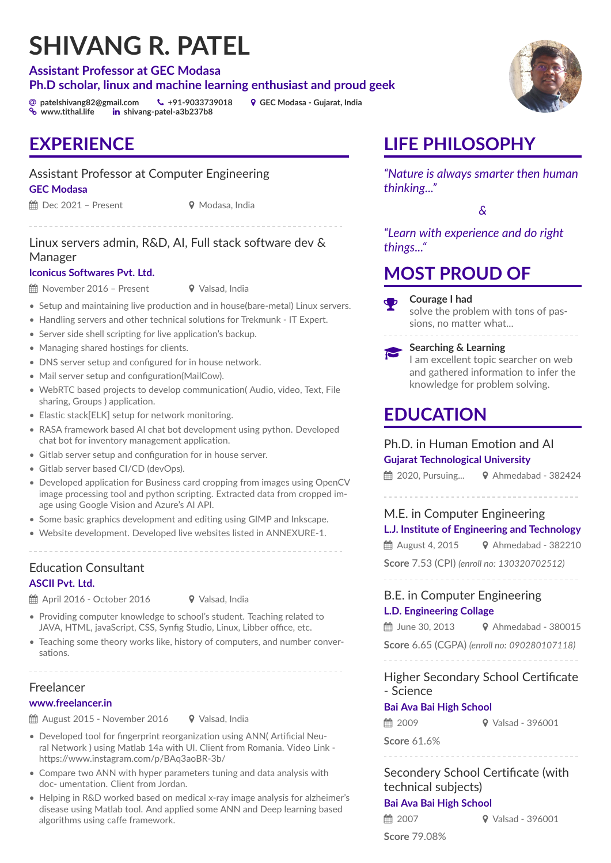# **SHIVANG R. PATEL**

#### **Assistant Professor at GEC Modasa Ph.D scholar, linux and machine learning enthusiast and proud geek**

[ **[patelshivang82@gmail.com](mailto:patelshivang82@gmail.com)** Ó **[+91-9033739018](call:+919033739018)** ½ **GEC Modasa - Gujarat, India in** [shivang-patel-a3b237b8](https://www.linkedin.com/in/shivang-patel-a3b237b8/)

### **EXPERIENCE**

### Assistant Professor at Computer Engineering

#### **[GEC Modasa](www.gecmodasa.ac.in)**

 $\hat{H}$  Dec 2021 – Present  $\hat{V}$  Modasa, India

### Linux servers admin, R&D, AI, Full stack software dev & Manager

#### **[Iconicus Softwares Pvt. Ltd.](https://www.iconicussoft.com)**

 $\hat{H}$  November 2016 – Present  $\bullet$  Valsad, India

- Setup and maintaining live production and in house(bare-metal) Linux servers.
- Handling servers and other technical solutions for [Trekmunk](https://trekmunk.com) IT Expert.
- Server side shell scripting for live application's backup.
- Managing shared hostings for clients.
- DNS server setup and configured for in house network.
- Mail server setup and configuration(MailCow).
- WebRTC based projects to develop communication( Audio, video, Text, File sharing, Groups ) application.
- Elastic stack[ELK] setup for network monitoring.
- RASA framework based AI chat bot development using python. Developed chat bot for inventory management application.
- Gitlab server setup and configuration for in house server.
- Gitlab server based CI/CD (devOps).
- Developed application for Business card cropping from images using OpenCV image processing tool and python scripting. Extracted data from cropped image using Google Vision and Azure's AI API.
- Some basic graphics development and editing using GIMP and Inkscape.
- Website development. Developed live websites listed in ANNEXURE-1.

Education Consultant **[ASCII Pvt. Ltd.](https://ascii-india.com)**

 $\hat{m}$  April 2016 - October 2016  $\bullet$  Valsad, India

- Providing computer knowledge to school's student. Teaching related to JAVA, HTML, javaScript, CSS, Synfig Studio, Linux, Libber office, etc.
- Teaching some theory works like, history of computers, and number conversations.

Freelancer

#### **[www.freelancer.in](https://freelancer.in)**

 $\hat{m}$  August 2015 - November 2016  $\bullet$  Valsad, India

- Developed tool for fingerprint reorganization using ANN( Artificial Neural Network ) using Matlab 14a with UI. Client from Romania. Video Link <https://www.instagram.com/p/BAq3aoBR-3b/>
- Compare two ANN with hyper parameters tuning and data analysis with doc- umentation. Client from Jordan.
- Helping in R&D worked based on medical x-ray image analysis for alzheimer's disease using Matlab tool. And applied some ANN and Deep learning based algorithms using caffe framework.



*"Nature is always smarter then human thinking..."*

*&*

*"Learn with experience and do right things..."*

### **MOST PROUD OF**

#### **Courage I had**

solve the problem with tons of passions, no matter what...

 $\mathbf \Phi$ 

**Searching & Learning**

I am excellent topic searcher on web and gathered information to infer the knowledge for problem solving.

## **EDUCATION**

### Ph.D. in Human Emotion and AI

**Gujarat Technological University**

 $m$  2020, Pursuing...  $\bullet$  Ahmedabad - 382424

### M.E. in Computer Engineering

#### **L.J. Institute of Engineering and Technology**

 $\hat{m}$  August 4, 2015  $\hat{V}$  Ahmedabad - 382210

**Score** 7.53 (CPI) *(enroll no: 130320702512)*

### B.E. in Computer Engineering **L.D. Engineering Collage**

 $\hat{H}$  June 30, 2013 <br>
↓ Ahmedabad - 380015

**Score** 6.65 (CGPA) *(enroll no: 090280107118)*

### Higher Secondary School Certificate

### - Science

#### **Bai Ava Bai High School**

 $\hat{m}$  2009  $\hat{V}$  Valsad - 396001

**Score** 61.6%

### Secondery School Certificate (with technical subjects) **Bai Ava Bai High School**

 $\hat{m}$  2007  $\hat{Q}$  Valsad - 396001

**Score** 79.08%

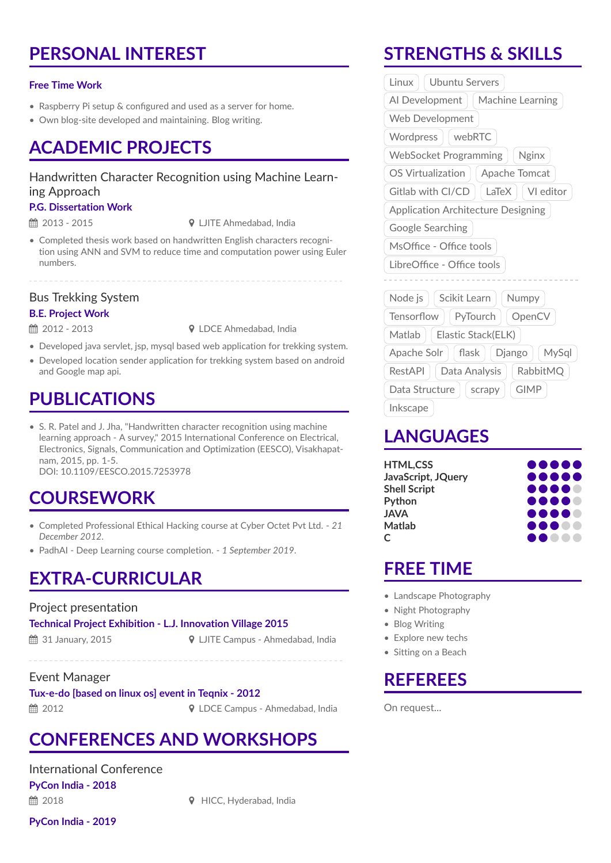### **PERSONAL INTEREST**

#### **Free Time Work**

- Raspberry Pi setup & configured and used as a server for home.
- Own blog-site developed and maintaining. Blog writing.

### **ACADEMIC PROJECTS**

#### Handwritten Character Recognition using Machine Learning Approach

#### **P.G. Dissertation Work**

 $\hat{=}$  2013 - 2015  $\hat{ }$  DITE Ahmedabad, India

• Completed thesis work based on handwritten English characters recognition using ANN and SVM to reduce time and computation power using Euler numbers.

### Bus Trekking System

#### **B.E. Project Work**

 $\hat{=}$  2012 - 2013  $\hat{}$  DDCE Ahmedabad, India

- Developed java servlet, jsp, mysql based web application for trekking system.
- Developed location sender application for trekking system based on android and Google map api.

### **PUBLICATIONS**

• S. R. Patel and J. Jha, "Handwritten character recognition using machine learning approach - A survey," 2015 International Conference on Electrical, Electronics, Signals, Communication and Optimization (EESCO), Visakhapatnam, 2015, pp. 1-5. [DOI: 10.1109/EESCO.2015.7253978](https://doi.org/10.1109/EESCO.2015.7253978)

### **COURSEWORK**

- Completed Professional Ethical Hacking course at [Cyber Octet Pvt Ltd.](https://www.cyberoctet.com/) *21 December 2012*.
- [PadhAI](https://padhai.onefourthlabs.in/) Deep Learning course completion. *1 September 2019*.

### **EXTRA-CURRICULAR**

#### Project presentation

**Technical Project Exhibition - L.J. Innovation Village 2015**

**to 31 January, 2015** → **9 LJITE Campus - Ahmedabad, India** 

Event Manager

**Tux-e-do [based on linux os] event in Teqnix - 2012** 2012 ½ LDCE Campus - Ahmedabad, India

### **CONFERENCES AND WORKSHOPS**

International Conference **[PyCon India - 2018](https://in.pycon.org/) ■ 2018** 2018 **v** HICC, Hyderabad, India

**[PyCon India - 2019](https://in.pycon.org/)**

**STRENGTHS & SKILLS**

| Al Development<br>Machine Learning<br>Web Development<br>webRTC<br>Wordpress<br><b>WebSocket Programming</b><br><b>Nginx</b> |  |  |
|------------------------------------------------------------------------------------------------------------------------------|--|--|
|                                                                                                                              |  |  |
|                                                                                                                              |  |  |
|                                                                                                                              |  |  |
|                                                                                                                              |  |  |
| OS Virtualization<br>Apache Tomcat                                                                                           |  |  |
| VI editor<br>Gitlab with CI/CD<br>LaTeX                                                                                      |  |  |
| <b>Application Architecture Designing</b>                                                                                    |  |  |
| Google Searching                                                                                                             |  |  |
| MsOffice - Office tools                                                                                                      |  |  |
| LibreOffice - Office tools                                                                                                   |  |  |
|                                                                                                                              |  |  |
| Scikit Learn<br>Node js<br>Numpy                                                                                             |  |  |
| Tensorflow   PyTourch<br>OpenCV                                                                                              |  |  |
| Elastic Stack(ELK)<br>Matlab                                                                                                 |  |  |
| flask<br>Django<br>Apache Solr $  $<br>MySql                                                                                 |  |  |
|                                                                                                                              |  |  |
| Data Analysis<br>RabbitMQ<br>RestAPI                                                                                         |  |  |
| <b>GIMP</b><br>Data Structure<br>scrapy                                                                                      |  |  |

### **LANGUAGES**

| <b>HTML,CSS</b>     |                                       |
|---------------------|---------------------------------------|
| JavaScript, JQuery  |                                       |
| <b>Shell Script</b> |                                       |
| Python              |                                       |
| <b>JAVA</b>         |                                       |
| <b>Matlab</b>       | <b></b>                               |
| C                   | $\blacksquare$<br>$\bullet$ $\bullet$ |
|                     |                                       |

### **FREE TIME**

- Landscape Photography
- Night Photography
- Blog Writing
- Explore new techs
- Sitting on a Beach

## **REFEREES**

On request...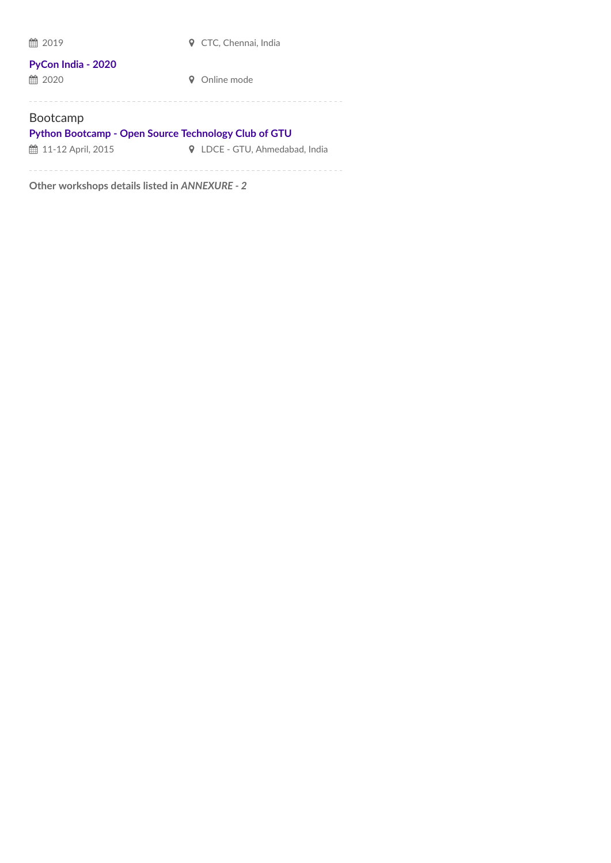| 雦<br>2019                                                                      | CTC. Chennai. India               |  |
|--------------------------------------------------------------------------------|-----------------------------------|--|
| PyCon India - 2020<br>■ 2020                                                   | Online mode                       |  |
| <b>Bootcamp</b><br><b>Python Bootcamp - Open Source Technology Club of GTU</b> |                                   |  |
| th 11-12 April, 2015                                                           | LDCE - GTU, Ahmedabad, India<br>Q |  |
| Other workshops details listed in ANNEXURE - 2                                 |                                   |  |